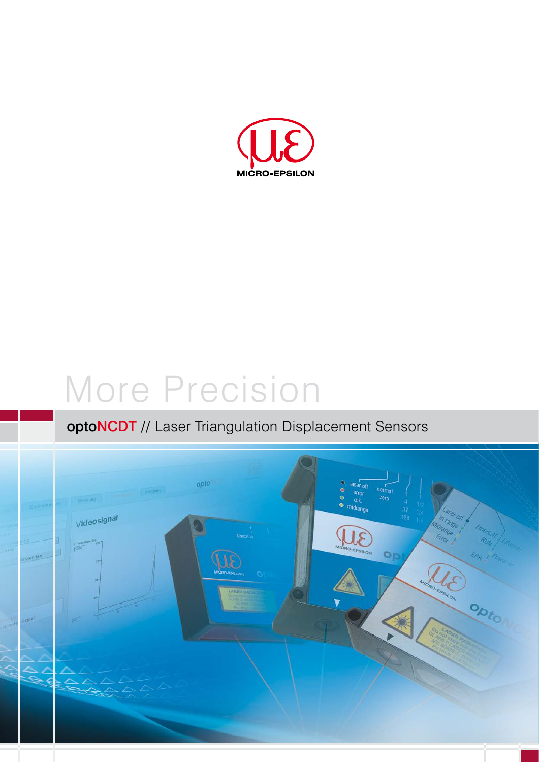

# More Precision

### optoNCDT // Laser Triangulation Displacement Sensors

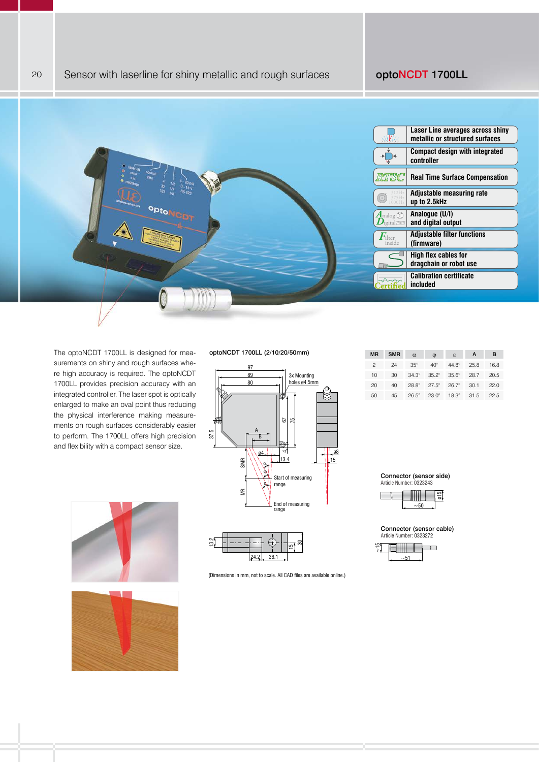

The optoNCDT 1700LL is designed for measurements on shiny and rough surfaces where high accuracy is required. The optoNCDT 1700LL provides precision accuracy with an integrated controller. The laser spot is optically enlarged to make an oval point thus reducing the physical interference making measurements on rough surfaces considerably easier to perform. The 1700LL offers high precision and flexibility with a compact sensor size.

#### optoNCDT 1700LL (2/10/20/50mm)





(Dimensions in mm, not to scale. All CAD files are available online.)

| <b>MR</b>      | <b>SMR</b> | $\alpha$             | $\varphi$    | $\varepsilon$ | A    | в    |
|----------------|------------|----------------------|--------------|---------------|------|------|
| $\overline{c}$ | 24         | $35^\circ$           | $40^\circ$   | $44.8^\circ$  | 25.8 | 16.8 |
| 10             | 30         | $34.3^\circ$         | $35.2^\circ$ | $35.6^\circ$  | 28.7 | 20.5 |
| 20             | 40         | $28.8^{\circ}$ 27.5° |              | $26.7^\circ$  | 30.1 | 22.0 |
| 50             | 45         | $26.5^\circ$         | $23.0^\circ$ | $18.3^\circ$  | 31.5 | 22.5 |

Connector (sensor side) Article Number: 0323243



Connector (sensor cable) Article Number: 0323272







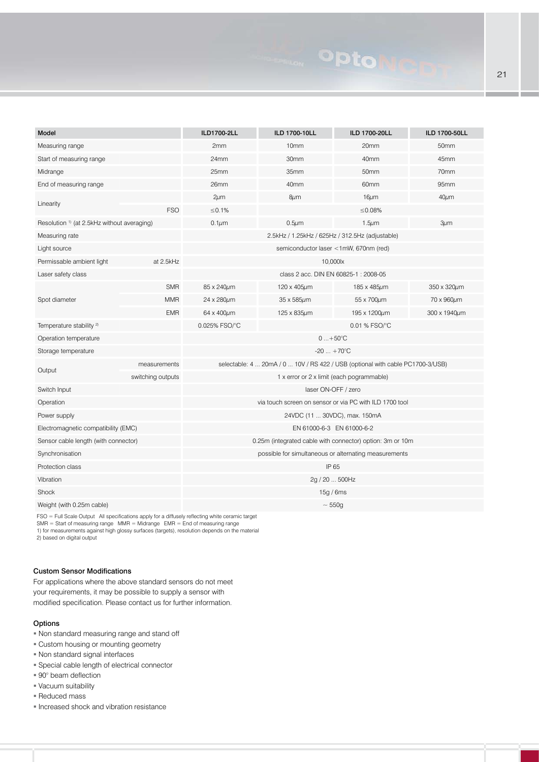## **OptoN**

| Model                                                                                            |                   | ILD1700-2LL                                                                    | ILD 1700-10LL    | ILD 1700-20LL    | ILD 1700-50LL    |  |  |
|--------------------------------------------------------------------------------------------------|-------------------|--------------------------------------------------------------------------------|------------------|------------------|------------------|--|--|
| Measuring range                                                                                  |                   | 2mm<br>10 <sub>mm</sub>                                                        |                  | 20mm             | 50 <sub>mm</sub> |  |  |
| Start of measuring range                                                                         |                   | 24mm                                                                           | 30mm             | 40mm             | 45mm             |  |  |
| Midrange                                                                                         |                   | 25mm                                                                           | 35mm             | 50mm             | 70mm             |  |  |
| End of measuring range                                                                           |                   | 26 <sub>mm</sub>                                                               | 40 <sub>mm</sub> | 60 <sub>mm</sub> | 95mm             |  |  |
|                                                                                                  |                   | $2 \mu m$                                                                      | $8 \mu m$        | $16 \mu m$       | $40 \mu m$       |  |  |
| Linearity                                                                                        | <b>FSO</b>        | ≤0.1%                                                                          |                  | ≤0.08%           |                  |  |  |
| Resolution <sup>1)</sup> (at 2.5kHz without averaging)                                           |                   | $0.1 \mu m$                                                                    | $0.5 \mu m$      | $1.5 \mu m$      | $3 \mu m$        |  |  |
| Measuring rate                                                                                   |                   | 2.5kHz / 1.25kHz / 625Hz / 312.5Hz (adjustable)                                |                  |                  |                  |  |  |
| Light source                                                                                     |                   | semiconductor laser <1mW, 670nm (red)                                          |                  |                  |                  |  |  |
| Permissable ambient light                                                                        | at 2.5kHz         | 10,000lx                                                                       |                  |                  |                  |  |  |
| Laser safety class                                                                               |                   | class 2 acc. DIN EN 60825-1 : 2008-05                                          |                  |                  |                  |  |  |
|                                                                                                  | <b>SMR</b>        | 85 x 240um                                                                     | 120 x 405µm      | 185 x 485µm      | 350 x 320um      |  |  |
| Spot diameter                                                                                    | <b>MMR</b>        | 24 x 280um                                                                     | 35 x 585µm       | 55 x 700um       | 70 x 960μm       |  |  |
|                                                                                                  | <b>EMR</b>        | 64 x 400um                                                                     | 125 x 835µm      | 195 x 1200um     | 300 x 1940um     |  |  |
| Temperature stability <sup>2)</sup>                                                              |                   | 0.025% FSO/°C<br>0.01 % FSO/°C                                                 |                  |                  |                  |  |  |
| Operation temperature                                                                            |                   | $0+50^{\circ}C$                                                                |                  |                  |                  |  |  |
| Storage temperature                                                                              |                   | $-20 + 70^{\circ}C$                                                            |                  |                  |                  |  |  |
|                                                                                                  | measurements      | selectable: 4  20mA / 0  10V / RS 422 / USB (optional with cable PC1700-3/USB) |                  |                  |                  |  |  |
| Output                                                                                           | switching outputs | 1 x error or 2 x limit (each pogrammable)                                      |                  |                  |                  |  |  |
| Switch Input                                                                                     |                   | laser ON-OFF / zero                                                            |                  |                  |                  |  |  |
| Operation                                                                                        |                   | via touch screen on sensor or via PC with ILD 1700 tool                        |                  |                  |                  |  |  |
| Power supply                                                                                     |                   | 24VDC (11  30VDC), max. 150mA                                                  |                  |                  |                  |  |  |
| Electromagnetic compatibility (EMC)                                                              |                   | EN 61000-6-3 EN 61000-6-2                                                      |                  |                  |                  |  |  |
| Sensor cable length (with connector)                                                             |                   | 0.25m (integrated cable with connector) option: 3m or 10m                      |                  |                  |                  |  |  |
| Synchronisation                                                                                  |                   | possible for simultaneous or alternating measurements                          |                  |                  |                  |  |  |
| Protection class                                                                                 |                   | IP 65                                                                          |                  |                  |                  |  |  |
| Vibration                                                                                        |                   | 2g / 20  500Hz                                                                 |                  |                  |                  |  |  |
| Shock                                                                                            |                   | 15g/6ms                                                                        |                  |                  |                  |  |  |
| Weight (with 0.25m cable)                                                                        |                   | $~\sim 550$ g                                                                  |                  |                  |                  |  |  |
| FSO = Full Scale Output All specifications apply for a diffusely reflecting white ceramic target |                   |                                                                                |                  |                  |                  |  |  |

FSO = Full Scale Output All specifications apply for a diffusely reflecting white ceramic target SMR = Start of measuring range MMR = Midrange EMR = End of measuring range 1) for measurements against high glossy surfaces (targets), resolution depends on the material 2) based on digital output

#### Custom Sensor Modifications

For applications where the above standard sensors do not meet your requirements, it may be possible to supply a sensor with modified specification. Please contact us for further information.

#### Options

- Non standard measuring range and stand off
- Custom housing or mounting geometry
- Non standard signal interfaces
- **Special cable length of electrical connector**
- 90° beam deflection
- Vacuum suitability
- Reduced mass
- Increased shock and vibration resistance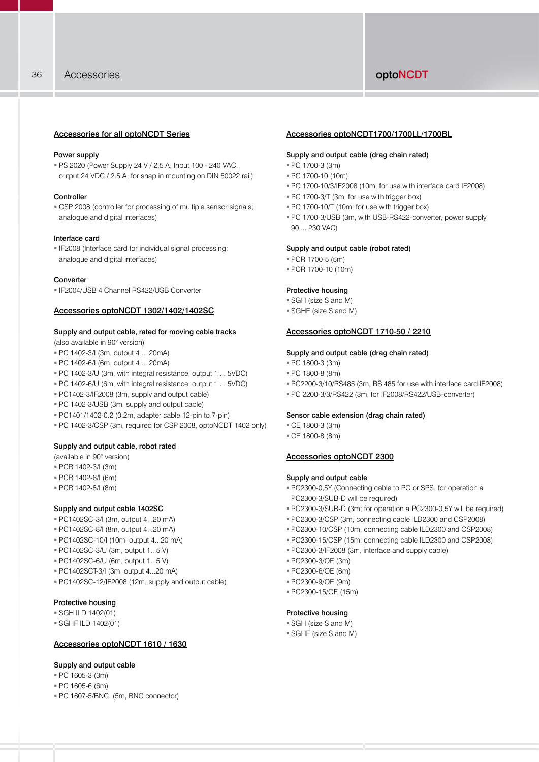#### Accessories for all optoNCDT Series

#### Power supply

 PS 2020 (Power Supply 24 V / 2,5 A, Input 100 - 240 VAC, output 24 VDC / 2.5 A, for snap in mounting on DIN 50022 rail)

#### Controller

 CSP 2008 (controller for processing of multiple sensor signals; analogue and digital interfaces)

#### Interface card

 IF2008 (Interface card for individual signal processing; analogue and digital interfaces)

#### Converter

IF2004/USB 4 Channel RS422/USB Converter

#### Accessories optoNCDT 1302/1402/1402SC

#### Supply and output cable, rated for moving cable tracks

(also available in 90° version)

- PC 1402-3/I (3m, output 4 ... 20mA)
- PC 1402-6/I (6m, output 4 ... 20mA)
- PC 1402-3/U (3m, with integral resistance, output 1 ... 5VDC)
- PC 1402-6/U (6m, with integral resistance, output 1 ... 5VDC)
- PC1402-3/IF2008 (3m, supply and output cable)
- PC 1402-3/USB (3m, supply and output cable)
- PC1401/1402-0.2 (0.2m, adapter cable 12-pin to 7-pin)
- PC 1402-3/CSP (3m, required for CSP 2008, optoNCDT 1402 only)

#### Supply and output cable, robot rated

(available in 90° version)

- PCR 1402-3/I (3m)
- PCR 1402-6/I (6m)
- PCR 1402-8/I (8m)

#### Supply and output cable 1402SC

- PC1402SC-3/I (3m, output 4...20 mA)
- PC1402SC-8/I (8m, output 4...20 mA)
- PC1402SC-10/I (10m, output 4...20 mA)
- PC1402SC-3/U (3m, output 1...5 V)
- PC1402SC-6/U (6m, output 1...5 V)
- PC1402SCT-3/I (3m, output 4...20 mA)
- PC1402SC-12/IF2008 (12m, supply and output cable)

#### Protective housing

#### $=$  SGH II D 1402(01)

SGHF ILD 1402(01)

#### Accessories optoNCDT 1610 / 1630

#### Supply and output cable

- PC 1605-3 (3m)
- PC 1605-6 (6m)
- PC 1607-5/BNC (5m, BNC connector)

#### Accessories optoNCDT1700/1700LL/1700BL

#### Supply and output cable (drag chain rated)

- PC 1700-3 (3m)
- PC 1700-10 (10m)
- PC 1700-10/3/IF2008 (10m, for use with interface card IF2008)
- PC 1700-3/T (3m, for use with trigger box)
- PC 1700-10/T (10m, for use with trigger box)
- PC 1700-3/USB (3m, with USB-RS422-converter, power supply 90 ... 230 VAC)

#### Supply and output cable (robot rated)

- PCR 1700-5 (5m)
- PCR 1700-10 (10m)

#### Protective housing

- SGH (size S and M)
- SGHF (size S and M)

#### Accessories optoNCDT 1710-50 / 2210

#### Supply and output cable (drag chain rated)

- PC 1800-3 (3m)
- PC 1800-8 (8m)
- PC2200-3/10/RS485 (3m, RS 485 for use with interface card IF2008)
- PC 2200-3/3/RS422 (3m, for IF2008/RS422/USB-converter)

#### Sensor cable extension (drag chain rated)

- CE 1800-3 (3m)
- CE 1800-8 (8m)

#### Accessories optoNCDT 2300

#### Supply and output cable

- PC2300-0,5Y (Connecting cable to PC or SPS; for operation a PC2300-3/SUB-D will be required)
- PC2300-3/SUB-D (3m; for operation a PC2300-0,5Y will be required)
- PC2300-3/CSP (3m, connecting cable ILD2300 and CSP2008)
- PC2300-10/CSP (10m, connecting cable ILD2300 and CSP2008)
- PC2300-15/CSP (15m, connecting cable ILD2300 and CSP2008)
- PC2300-3/IF2008 (3m, interface and supply cable)
- PC2300-3/OE (3m)
- PC2300-6/OE (6m)
- PC2300-9/OE (9m)
- PC2300-15/OE (15m)

#### Protective housing

- SGH (size S and M)
- SGHF (size S and M)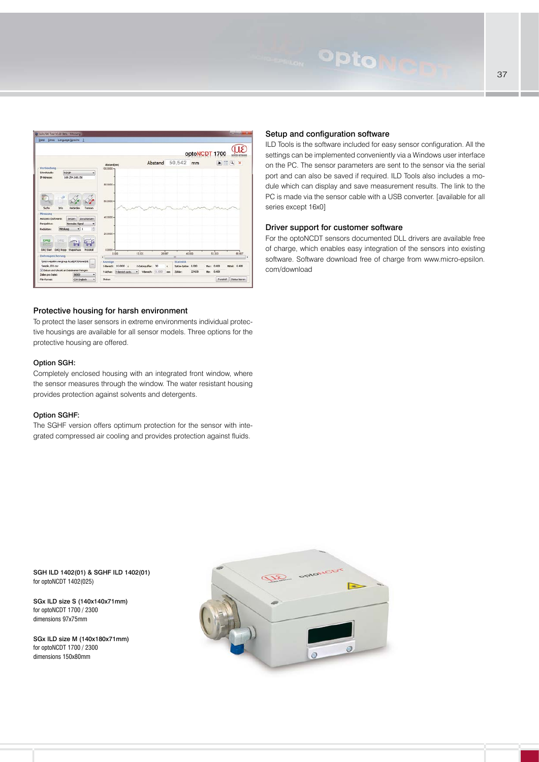

#### Protective housing for harsh environment

To protect the laser sensors in extreme environments individual protective housings are available for all sensor models. Three options for the protective housing are offered.

#### Option SGH:

Completely enclosed housing with an integrated front window, where the sensor measures through the window. The water resistant housing provides protection against solvents and detergents.

#### Option SGHF:

The SGHF version offers optimum protection for the sensor with integrated compressed air cooling and provides protection against fluids.

#### Setup and configuration software

**Opton** 

ILD Tools is the software included for easy sensor configuration. All the settings can be implemented conveniently via a Windows user interface on the PC. The sensor parameters are sent to the sensor via the serial port and can also be saved if required. ILD Tools also includes a module which can display and save measurement results. The link to the PC is made via the sensor cable with a USB converter. [available for all series except 16x0]

#### Driver support for customer software

For the optoNCDT sensors documented DLL drivers are available free of charge, which enables easy integration of the sensors into existing software. Software download free of charge from www.micro-epsilon. com/download

SGH ILD 1402(01) & SGHF ILD 1402(01) for optoNCDT 1402(025)

SGx ILD size S (140x140x71mm) for optoNCDT 1700 / 2300 dimensions 97x75mm

SGx ILD size M (140x180x71mm) for optoNCDT 1700 / 2300 dimensions 150x80mm

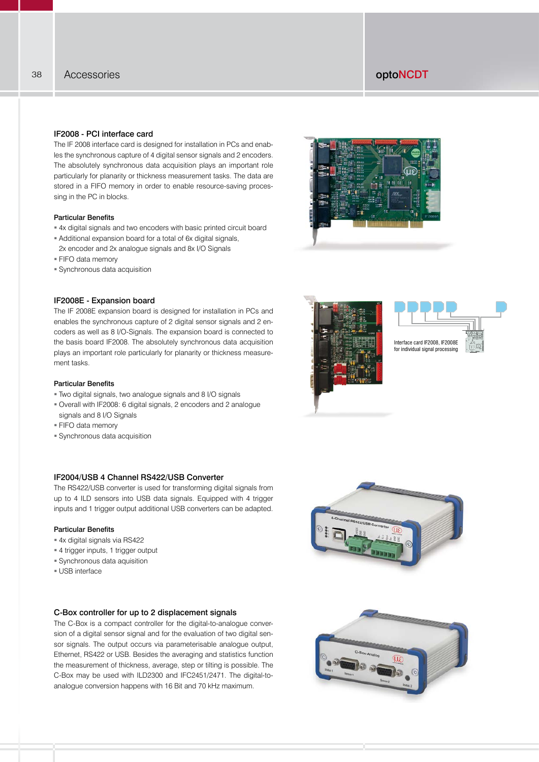#### IF2008 - PCI interface card

The IF 2008 interface card is designed for installation in PCs and enables the synchronous capture of 4 digital sensor signals and 2 encoders. The absolutely synchronous data acquisition plays an important role particularly for planarity or thickness measurement tasks. The data are stored in a FIFO memory in order to enable resource-saving processing in the PC in blocks.

#### Particular Benefits

- 4x digital signals and two encoders with basic printed circuit board
- Additional expansion board for a total of 6x digital signals, 2x encoder and 2x analogue signals and 8x I/O Signals
- **FIFO data memory**
- Synchronous data acquisition

#### IF2008E - Expansion board

The IF 2008E expansion board is designed for installation in PCs and enables the synchronous capture of 2 digital sensor signals and 2 encoders as well as 8 I/O-Signals. The expansion board is connected to the basis board IF2008. The absolutely synchronous data acquisition plays an important role particularly for planarity or thickness measurement tasks.

#### Particular Benefits

- Two digital signals, two analogue signals and 8 I/O signals
- Overall with IF2008: 6 digital signals, 2 encoders and 2 analogue
- signals and 8 I/O Signals
- FIFO data memory
- Synchronous data acquisition

#### IF2004/USB 4 Channel RS422/USB Converter

The RS422/USB converter is used for transforming digital signals from up to 4 ILD sensors into USB data signals. Equipped with 4 trigger inputs and 1 trigger output additional USB converters can be adapted.

#### Particular Benefits

- 4x digital signals via RS422
- 4 trigger inputs, 1 trigger output
- Synchronous data aquisition
- USB interface

#### C-Box controller for up to 2 displacement signals

The C-Box is a compact controller for the digital-to-analogue conversion of a digital sensor signal and for the evaluation of two digital sensor signals. The output occurs via parameterisable analogue output, Ethernet, RS422 or USB. Besides the averaging and statistics function the measurement of thickness, average, step or tilting is possible. The C-Box may be used with ILD2300 and IFC2451/2471. The digital-toanalogue conversion happens with 16 Bit and 70 kHz maximum.









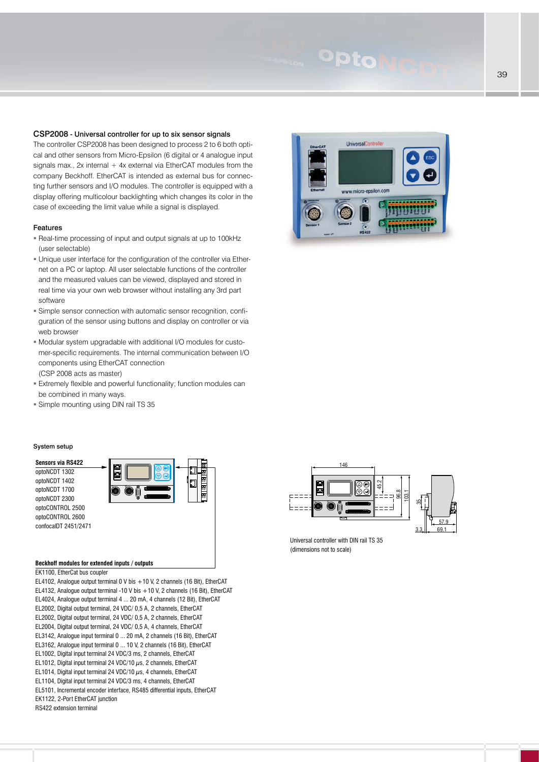## Opto

#### CSP2008 - Universal controller for up to six sensor signals

The controller CSP2008 has been designed to process 2 to 6 both optical and other sensors from Micro-Epsilon (6 digital or 4 analogue input signals max., 2x internal  $+$  4x external via EtherCAT modules from the company Beckhoff. EtherCAT is intended as external bus for connecting further sensors and I/O modules. The controller is equipped with a display offering multicolour backlighting which changes its color in the case of exceeding the limit value while a signal is displayed.

#### Features

- Real-time processing of input and output signals at up to 100kHz (user selectable)
- Unique user interface for the configuration of the controller via Ethernet on a PC or laptop. All user selectable functions of the controller and the measured values can be viewed, displayed and stored in real time via your own web browser without installing any 3rd part software
- Simple sensor connection with automatic sensor recognition, configuration of the sensor using buttons and display on controller or via web browser
- Modular system upgradable with additional I/O modules for customer-specific requirements. The internal communication between I/O components using EtherCAT connection (CSP 2008 acts as master)
- Extremely flexible and powerful functionality; function modules can be combined in many ways.
- Simple mounting using DIN rail TS 35

#### System setup

**Sensors via RS422** optoNCDT 1302 optoNCDT 1402 optoNCDT 1700 optoNCDT 2300 optoCONTROL 2500 optoCONTROL 2600 confocalDT 2451/2471



#### **Beckhoff modules for extended inputs / outputs**

EK1100, EtherCat bus coupler

EL4102, Analogue output terminal 0 V bis +10 V, 2 channels (16 Bit), EtherCAT EL4132, Analogue output terminal -10 V bis +10 V, 2 channels (16 Bit), EtherCAT EL4024, Analogue output terminal 4 ... 20 mA, 4 channels (12 Bit), EtherCAT EL2002, Digital output terminal, 24 VDC/ 0,5 A, 2 channels, EtherCAT EL2002, Digital output terminal, 24 VDC/ 0,5 A, 2 channels, EtherCAT EL2004, Digital output terminal, 24 VDC/ 0,5 A, 4 channels, EtherCAT EL3142, Analogue input terminal 0 ... 20 mA, 2 channels (16 Bit), EtherCAT EL3162, Analogue input terminal 0 ... 10 V, 2 channels (16 Bit), EtherCAT EL1002, Digital input terminal 24 VDC/3 ms, 2 channels, EtherCAT EL1012, Digital input terminal 24 VDC/10  $\mu$ s, 2 channels, EtherCAT EL1014, Digital input terminal 24 VDC/10  $\mu$ s, 4 channels, EtherCAT EL1104, Digital input terminal 24 VDC/3 ms, 4 channels, EtherCAT EL5101, Incremental encoder interface, RS485 differential inputs, EtherCAT EK1122, 2-Port EtherCAT junction RS422 extension terminal





Universal controller with DIN rail TS 35 (dimensions not to scale)